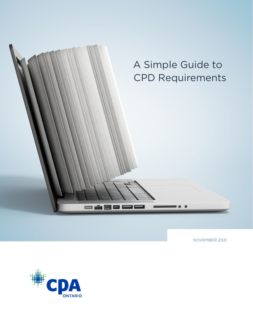

NOVEMBER 2021

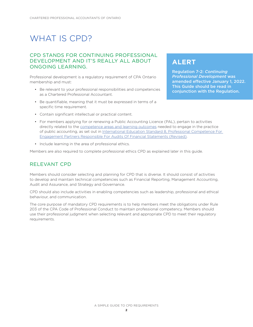# WHAT IS CPD?

#### CPD STANDS FOR CONTINUING PROFESSIONAL DEVELOPMENT AND IT'S REALLY ALL ABOUT ONGOING LEARNING.

Professional development is a regulatory requirement of CPA Ontario membership and must:

- Be relevant to your professional responsibilities and competencies as a Chartered Professional Accountant.
- Be quantifiable, meaning that it must be expressed in terms of a specific time requirement.

#### **ALERT**

Regulation 7-2: *Continuing Professional Development* was amended effective January 1, 2022. This Guide should be read in conjunction with the Regulation.

- Contain significant intellectual or practical content.
- For members applying for or renewing a Public Accounting Licence (PAL), pertain to activities directly related to the [competence areas and learning outcomes](https://assets.cpaontario.ca/members/professional-development/pdfs/Members applying for or renewing a Public Accounting Licence.pdf) needed to engage in the practice of public accounting, as set out in [International Education Standard 8, Professional Competence For](https://www.ifac.org/system/files/publications/files/IAESB-IES-8-Professional-competence-for-engagement-partners.pdf)  [Engagement Partners Responsible For Audits Of Financial Statements \(Revised\).](https://www.ifac.org/system/files/publications/files/IAESB-IES-8-Professional-competence-for-engagement-partners.pdf)
- Include learning in the area of professional ethics.

Members are also required to complete professional ethics CPD as explained later in this guide.

#### RELEVANT CPD

Members should consider selecting and planning for CPD that is diverse. It should consist of activities to develop and maintain technical competencies such as Financial Reporting, Management Accounting, Audit and Assurance, and Strategy and Governance.

CPD should also include activities in enabling competencies such as leadership, professional and ethical behaviour, and communication.

The core purpose of mandatory CPD requirements is to help members meet the obligations under Rule 203 of the CPA Code of Professional Conduct to maintain professional competency. Members should use their professional judgment when selecting relevant and appropriate CPD to meet their regulatory requirements.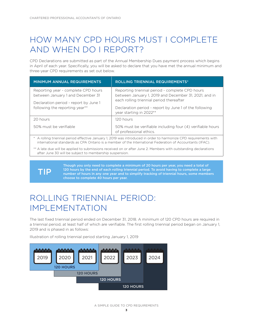# HOW MANY CPD HOURS MUST I COMPLETE AND WHEN DO I REPORT?

CPD Declarations are submitted as part of the Annual Membership Dues payment process which begins in April of each year. Specifically, you will be asked to declare that you have met the annual minimum and three-year CPD requirements as set out below.

| <b>MINIMUM ANNUAL REQUIREMENTS</b>                                       | <b>ROLLING TRIENNIAL REQUIREMENTS*</b>                                                                                                                                                                                                    |  |
|--------------------------------------------------------------------------|-------------------------------------------------------------------------------------------------------------------------------------------------------------------------------------------------------------------------------------------|--|
| Reporting year - complete CPD hours<br>between January 1 and December 31 | Reporting triennial period - complete CPD hours<br>between January 1, 2019 and December 31, 2021, and in<br>each rolling triennial period thereafter<br>Declaration period - report by June 1 of the following<br>year starting in 2022** |  |
| Declaration period - report by June 1<br>following the reporting year**  |                                                                                                                                                                                                                                           |  |
| 20 hours                                                                 | 120 hours                                                                                                                                                                                                                                 |  |
| 50% must be verifiable                                                   | 50% must be verifiable including four (4) verifiable hours<br>of professional ethics.                                                                                                                                                     |  |

\* A rolling triennial period effective January 1, 2019 was introduced in order to harmonize CPD requirements with international standards as CPA Ontario is a member of the International Federation of Accountants (IFAC).

\*\* A late due will be applied to submissions received on or after June 2. Members with outstanding declarations after June 30 will be subject to membership suspension.

TIP

Though you only need to complete a minimum of 20 hours per year, you need a total of 120 hours by the end of each rolling triennial period. To avoid having to complete a large number of hours in any one year and to simplify tracking of triennial hours, some members choose to complete 40 hours per year.

## ROLLING TRIENNIAL PERIOD: IMPI EMENTATION

The last fixed triennial period ended on December 31, 2018. A minimum of 120 CPD hours are required in a triennial period, at least half of which are verifiable. The first rolling triennial period began on January 1, 2019 and is phased in as follows:

Illustration of rolling triennial period starting January 1, 2019



A SIMPLE GUIDE TO CPD REQUIREMENTS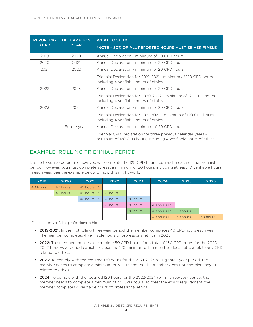| <b>REPORTING</b><br><b>YEAR</b> | <b>DECLARATION</b><br><b>YEAR</b> | <b>WHAT TO SUBMIT</b><br>*NOTE - 50% OF ALL REPORTED HOURS MUST BE VERIFIABLE                                                     |
|---------------------------------|-----------------------------------|-----------------------------------------------------------------------------------------------------------------------------------|
| 2019                            | 2020                              | Annual Declaration - minimum of 20 CPD hours                                                                                      |
| 2020                            | 2021                              | Annual Declaration - minimum of 20 CPD hours                                                                                      |
| 2021                            | 2022                              | Annual Declaration - minimum of 20 CPD hours                                                                                      |
|                                 |                                   | Triennial Declaration for 2019-2021 - minimum of 120 CPD hours.<br>including 4 verifiable hours of ethics                         |
| 2022                            | 2023                              | Annual Declaration - minimum of 20 CPD hours                                                                                      |
|                                 |                                   | Triennial Declaration for 2020-2022 - minimum of 120 CPD hours,<br>including 4 verifiable hours of ethics                         |
| 2023                            | 2024                              | Annual Declaration - minimum of 20 CPD hours                                                                                      |
|                                 |                                   | Triennial Declaration for 2021-2023 - minimum of 120 CPD hours.<br>including 4 verifiable hours of ethics                         |
|                                 | Future years                      | Annual Declaration - minimum of 20 CPD hours                                                                                      |
|                                 |                                   | Triennial CPD Declaration for three previous calendar years -<br>minimum of 120 CPD hours, including 4 verifiable hours of ethics |

#### EXAMPLE: ROLLING TRIENNIAL PERIOD

It is up to you to determine how you will complete the 120 CPD hours required in each rolling triennial period. However, you must complete at least a minimum of 20 hours, including at least 10 verifiable hours, in each year. See the example below of how this might work:

| 2019     | 2020     | 2021           | 2022     | 2023     | 2024           | 2025     | 2026     |
|----------|----------|----------------|----------|----------|----------------|----------|----------|
| 40 hours | 40 hours | 40 hours E*    |          |          |                |          |          |
|          | 40 hours | 40 hours E*    | 50 hours |          |                |          |          |
|          |          | 40 hours $E^*$ | 50 hours | 30 hours |                |          |          |
|          |          |                | 50 hours | 30 hours | 40 hours $E^*$ |          |          |
|          |          |                |          | 30 hours | 40 hours $E^*$ | 50 hours |          |
|          |          |                |          |          | 40 hours E*    | 50 hours | 30 hours |

 $E^*$  - denotes verifiable professional ethics

- 2019-2021: In the first rolling three-year period, the member completes 40 CPD hours each year. The member completes 4 verifiable hours of professional ethics in 2021.
- 2022: The member chooses to complete 50 CPD hours, for a total of 130 CPD hours for the 2020-2022 three-year period (which exceeds the 120 minimum). The member does not complete any CPD related to ethics.
- 2023: To comply with the required 120 hours for the 2021-2023 rolling three-year period, the member needs to complete a minimum of 30 CPD hours. The member does not complete any CPD related to ethics.
- 2024: To comply with the required 120 hours for the 2022-2024 rolling three-year period, the member needs to complete a minimum of 40 CPD hours. To meet the ethics requirement, the member completes 4 verifiable hours of professional ethics.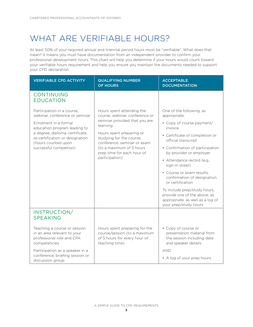# WHAT ARE VERIFIABLE HOURS?

At least 50% of your required annual and triennial period hours must be "verifiable". What does that mean? It means you must have documentation from an independent provider to confirm your professional development hours. This chart will help you determine if your hours would count toward your verifiable hours requirement and help you ensure you maintain the documents needed to support your CPD declaration.

| <b>VERIFIABLE CPD ACTIVITY</b>                                                                                                                                                                                                               | <b>QUALIFYING NUMBER</b><br><b>OF HOURS</b>                                                                                                                                                                                                                                  | <b>ACCEPTABLE</b><br><b>DOCUMENTATION</b>                                                                                                                                                                                                                                                                                                                                                                                                   |
|----------------------------------------------------------------------------------------------------------------------------------------------------------------------------------------------------------------------------------------------|------------------------------------------------------------------------------------------------------------------------------------------------------------------------------------------------------------------------------------------------------------------------------|---------------------------------------------------------------------------------------------------------------------------------------------------------------------------------------------------------------------------------------------------------------------------------------------------------------------------------------------------------------------------------------------------------------------------------------------|
| <b>CONTINUING</b><br><b>EDUCATION</b>                                                                                                                                                                                                        |                                                                                                                                                                                                                                                                              |                                                                                                                                                                                                                                                                                                                                                                                                                                             |
| Participation in a course,<br>webinar, conference or seminar<br>Enrolment in a formal<br>education program leading to<br>a degree, diploma, certificate,<br>re-certification or designation<br>(hours counted upon<br>successful completion) | Hours spent attending the<br>course, webinar, conference or<br>seminar provided that you are<br>learning.<br>Hours spent preparing or<br>studying for the course,<br>conference, seminar or exam<br>(to a maximum of 5 hours<br>prep time for each hour of<br>participation) | One of the following, as<br>appropriate:<br>• Copy of course payment/<br>invoice<br>• Certificate of completion or<br>official transcript<br>• Confirmation of participation<br>by provider or employer<br>• Attendance record (e.g.,<br>sign-in sheet)<br>• Course or exam results,<br>confirmation of designation<br>or certification<br>To include prep/study hours,<br>provide one of the above, as<br>appropriate, as well as a log of |
| INSTRUCTION/<br><b>SPEAKING</b><br>Teaching a course or session                                                                                                                                                                              | Hours spent preparing for the                                                                                                                                                                                                                                                | your prep/study hours<br>• Copy of course or                                                                                                                                                                                                                                                                                                                                                                                                |
| in an area relevant to your<br>professional role and CPA<br>competencies<br>Participation as a speaker in a<br>conference, briefing session or<br>discussion group                                                                           | course/session (to a maximum<br>of 5 hours for every hour of<br>teaching time)                                                                                                                                                                                               | presentation material from<br>the session including date<br>and speaker details<br><b>AND</b><br>• A log of your prep hours                                                                                                                                                                                                                                                                                                                 |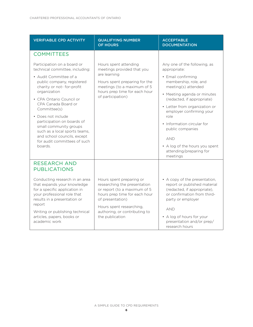| <b>VERIFIABLE CPD ACTIVITY</b>                                                                                                                                                                                                                                                                                                                                                                                        | <b>QUALIFYING NUMBER</b><br><b>OF HOURS</b>                                                                                                                                               | <b>ACCEPTABLE</b><br><b>DOCUMENTATION</b>                                                                                                                                                                                                                                                                            |  |
|-----------------------------------------------------------------------------------------------------------------------------------------------------------------------------------------------------------------------------------------------------------------------------------------------------------------------------------------------------------------------------------------------------------------------|-------------------------------------------------------------------------------------------------------------------------------------------------------------------------------------------|----------------------------------------------------------------------------------------------------------------------------------------------------------------------------------------------------------------------------------------------------------------------------------------------------------------------|--|
| <b>COMMITTEES</b>                                                                                                                                                                                                                                                                                                                                                                                                     |                                                                                                                                                                                           |                                                                                                                                                                                                                                                                                                                      |  |
| Participation on a board or<br>technical committee, including:<br>• Audit Committee of a<br>public company, registered<br>charity or not- for-profit<br>organization<br>• CPA Ontario Council or<br>CPA Canada Board or<br>Committee(s)<br>• Does not include<br>participation on boards of<br>small community groups<br>such as a local sports teams,<br>and school councils, except<br>for audit committees of such | Hours spent attending<br>meetings provided that you<br>are learning<br>Hours spent preparing for the<br>meetings (to a maximum of 5<br>hours prep time for each hour<br>of participation) | Any one of the following, as<br>appropriate:<br>• Email confirming<br>membership, role, and<br>meeting(s) attended<br>• Meeting agenda or minutes<br>(redacted, if appropriate)<br>• Letter from organization or<br>employer confirming your<br>role<br>• Information circular for<br>public companies<br><b>AND</b> |  |
| boards.                                                                                                                                                                                                                                                                                                                                                                                                               |                                                                                                                                                                                           | • A log of the hours you spent<br>attending/preparing for<br>meetings                                                                                                                                                                                                                                                |  |
| <b>RESEARCH AND</b><br><b>PUBLICATIONS</b>                                                                                                                                                                                                                                                                                                                                                                            |                                                                                                                                                                                           |                                                                                                                                                                                                                                                                                                                      |  |
| Conducting research in an area<br>that expands your knowledge<br>for a specific application in<br>your professional role that<br>results in a presentation or<br>report                                                                                                                                                                                                                                               | Hours spent preparing or<br>researching the presentation<br>or report (to a maximum of 5<br>hours prep time for each hour<br>of presentation)                                             | • A copy of the presentation,<br>report or published material<br>(redacted, if appropriate),<br>or confirmation from third-<br>party or employer                                                                                                                                                                     |  |
| Writing or publishing technical<br>articles, papers, books or<br>academic work                                                                                                                                                                                                                                                                                                                                        | Hours spent researching,<br>authoring, or contributing to<br>the publication                                                                                                              | <b>AND</b><br>• A log of hours for your<br>presentation and/or prep/<br>research hours                                                                                                                                                                                                                               |  |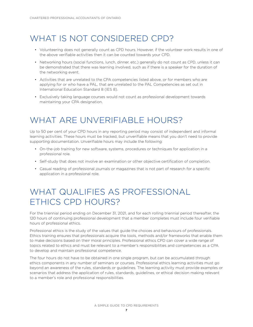## WHAT IS NOT CONSIDERED CPD?

- Volunteering does not generally count as CPD hours. However, if the volunteer work results in one of the above verifiable activities then it can be counted towards your CPD.
- Networking hours (social functions, lunch, dinner, etc.) generally do not count as CPD, unless it can be demonstrated that there was learning involved, such as if there is a speaker for the duration of the networking event.
- Activities that are unrelated to the CPA competencies listed above, or for members who are applying for or who have a PAL, that are unrelated to the PAL Competencies as set out in International Education Standard 8 (IES 8).
- Exclusively taking language courses would not count as professional development towards maintaining your CPA designation.

# WHAT ARE UNVERIFIABLE HOURS?

Up to 50 per cent of your CPD hours in any reporting period may consist of independent and informal learning activities. These hours must be tracked, but unverifiable means that you don't need to provide supporting documentation. Unverifiable hours may include the following:

- On-the-job training for new software, systems, procedures or techniques for application in a professional role.
- Self-study that does not involve an examination or other objective certification of completion.
- Casual reading of professional journals or magazines that is not part of research for a specific application in a professional role.

# WHAT QUALIFIES AS PROFESSIONAL ETHICS CPD HOURS?

For the triennial period ending on December 31, 2021, and for each rolling triennial period thereafter, the 120 hours of continuing professional development that a member completes must include four verifiable hours of professional ethics.

Professional ethics is the study of the values that guide the choices and behaviours of professionals. Ethics training ensures that professionals acquire the tools, methods and/or frameworks that enable them to make decisions based on their moral principles. Professional ethics CPD can cover a wide range of topics related to ethics and must be relevant to a member's responsibilities and competencies as a CPA to develop and maintain professional competence.

The four hours do not have to be obtained in one single program, but can be accumulated through ethics components in any number of seminars or courses. Professional ethics learning activities must go beyond an awareness of the rules, standards or guidelines. The learning activity must provide examples or scenarios that address the application of rules, standards, guidelines, or ethical decision making relevant to a member's role and professional responsibilities.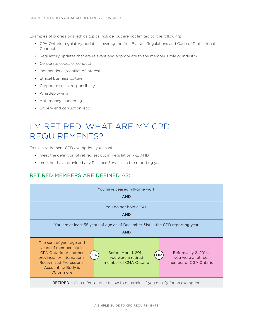Examples of professional ethics topics include, but are not limited to, the following:

- CPA Ontario regulatory updates covering the Act, Bylaws, Regulations and Code of Professional Conduct
- Regulatory updates that are relevant and appropriate to the member's role or industry
- Corporate codes of conduct
- Independence/conflict of interest
- Ethical business culture
- Corporate social responsibility
- Whistleblowing
- Anti-money-laundering
- Bribery and corruption, etc.

### I'M RETIRED, WHAT ARE MY CPD REQUIREMENTS?

To file a retirement CPD exemption, you must:

- meet the definition of retired set out in Regulation 7-2; AND
- must not have provided any Reliance Services in the reporting year

#### RETIRED MEMBERS ARE DEFINED AS:

| You have ceased full-time work<br><b>AND</b>                                                                                                                                     |                                                                                  |                                                                     |  |
|----------------------------------------------------------------------------------------------------------------------------------------------------------------------------------|----------------------------------------------------------------------------------|---------------------------------------------------------------------|--|
| You do not hold a PAL<br><b>AND</b>                                                                                                                                              |                                                                                  |                                                                     |  |
| You are at least 55 years of age as of December 31st in the CPD reporting year<br><b>AND</b>                                                                                     |                                                                                  |                                                                     |  |
| The sum of your age and<br>years of membership in<br>CPA Ontario or another<br>provincial or international<br>Recognized Professional<br><b>Accounting Body is</b><br>70 or more | Before April 1, 2014,<br>OR<br>OR<br>you were a retired<br>member of CMA Ontario | Before July 2, 2014,<br>you were a retired<br>member of CGA Ontario |  |
| <b>RETIRED</b> > Also refer to table below to determine if you qualify for an exemption                                                                                          |                                                                                  |                                                                     |  |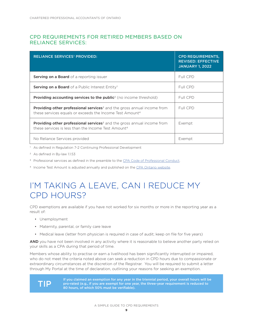#### CPD REQUIREMENTS FOR RETIRED MEMBERS BASED ON RELIANCE SERVICES:

| <b>RELIANCE SERVICES<sup>1</sup> PROVIDED:</b>                                                                                                                     | <b>CPD REQUIREMENTS,</b><br><b>REVISED: EFFECTIVE</b><br><b>JANUARY 1, 2022</b> |
|--------------------------------------------------------------------------------------------------------------------------------------------------------------------|---------------------------------------------------------------------------------|
| <b>Serving on a Board</b> of a reporting issuer                                                                                                                    | Full CPD                                                                        |
| Serving on a Board of a Public Interest Entity <sup>1</sup>                                                                                                        | Full CPD                                                                        |
| <b>Providing accounting services to the public</b> <sup>2</sup> (no income threshold)                                                                              | Full CPD                                                                        |
| <b>Providing other professional services</b> <sup>3</sup> and the gross annual income from<br>these services equals or exceeds the Income Test Amount <sup>4</sup> | Full CPD                                                                        |
| <b>Providing other professional services</b> <sup>3</sup> and the gross annual income from<br>these services is less than the Income Test Amount <sup>4</sup>      | Exempt                                                                          |
| No Reliance Services provided                                                                                                                                      | Exempt                                                                          |

1 As defined in Regulation 7-2 Continuing Professional Development

- 2 As defined in By-law 1.1.53
- <sup>3</sup> Professional services as defined in the preamble to the [CPA Code of Professional Conduct](https://assets.cpaontario.ca/members/regulations-guidance/pdfs/CPA-Ontario-Code-of-professional-conduct.pdf).
- 4 Income Test Amount is adjusted annually and published on the [CPA Ontario website.](https://www.cpaontario.ca/members/regulations-guidance/continuing-professional-development)

### I'M TAKING A LEAVE, CAN I REDUCE MY CPD HOURS?

CPD exemptions are available if you have not worked for six months or more in the reporting year as a result of:

- Unemployment
- Maternity, parental, or family care leave
- Medical leave (letter from physician is required in case of audit; keep on file for five years)

AND you have not been involved in any activity where it is reasonable to believe another party relied on your skills as a CPA during that period of time.

Members whose ability to practise or earn a livelihood has been significantly interrupted or impaired, who do not meet the criteria noted above can seek a reduction in CPD hours due to compassionate or extraordinary circumstances at the discretion of the Registrar. You will be required to submit a letter through My Portal at the time of declaration, outlining your reasons for seeking an exemption.



If you claimed an exemption for any year in the triennial period, your overall hours will be<br> **TIP** pro-rated (e.g., if you are exempt for one year, the three-year requirement is reduced to<br>
80 hours of which 50% must be 80 hours, of which 50% must be verifiable).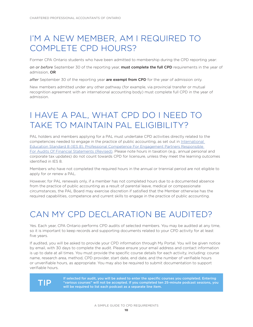## I'M A NEW MEMBER, AM I REQUIRED TO COMPLETE CPD HOURS?

Former CPA Ontario students who have been admitted to membership during the CPD reporting year:

*on or before* September 30 of the reporting year, must complete the full CPD requirements in the year of admission, OR

after September 30 of the reporting year are exempt from CPD for the year of admission only.

New members admitted under any other pathway (for example, via provincial transfer or mutual recognition agreement with an international accounting body) must complete full CPD in the year of admission.

# I HAVE A PAL, WHAT CPD DO I NEED TO TAKE TO MAINTAIN PAL ELIGIBILITY?

PAL holders and members applying for a PAL must undertake CPD activities directly related to the competencies needed to engage in the practice of public accounting, as set out in [International](https://www.ifac.org/system/files/publications/files/IAESB-IES-8-Professional-competence-for-engagement-partners.pdf)  Education Standard 8 (IES 8), Professional [Competence For Engagement Partners](https://www.ifac.org/system/files/publications/files/IAESB-IES-8-Professional-competence-for-engagement-partners.pdf) Responsible For Audits Of Financial [Statements \(Revised\)](https://www.ifac.org/system/files/publications/files/IAESB-IES-8-Professional-competence-for-engagement-partners.pdf). Please note hours in taxation (e.g., annual personal and corporate tax updates) do not count towards CPD for licensure, unless they meet the learning outcomes identified in IES 8.

Members who have not completed the required hours in the annual or triennial period are not eligible to apply for or renew a PAL.

However, for PAL renewals only, if a member has not completed hours due to a documented absence from the practice of public accounting as a result of parental leave, medical or compassionate circumstances, the PAL Board may exercise discretion if satisfied that the Member otherwise has the required capabilities, competence and current skills to engage in the practice of public accounting.

### CAN MY CPD DECLARATION BE AUDITED?

Yes. Each year, CPA Ontario performs CPD audits of selected members. You may be audited at any time, so it is important to keep records and supporting documents related to your CPD activity for at least five years.

If audited, you will be asked to provide your CPD information through My Portal. You will be given notice by email, with 30 days to complete the audit. Please ensure your email address and contact information is up to date at all times. You must provide the specific course details for each activity, including: course name, research area, method, CPD provider, start date, end date, and the number of verifiable hours or unverifiable hours, as appropriate. You may also be required to submit documentation to support verifiable hours.



If selected for audit, you will be asked to enter the specific courses you completed. Entering <br>T  $\prod_{i=1}^{\infty} P$  will be required to list each podcast as a separate line item will be required to list each podcast as a separate line item.